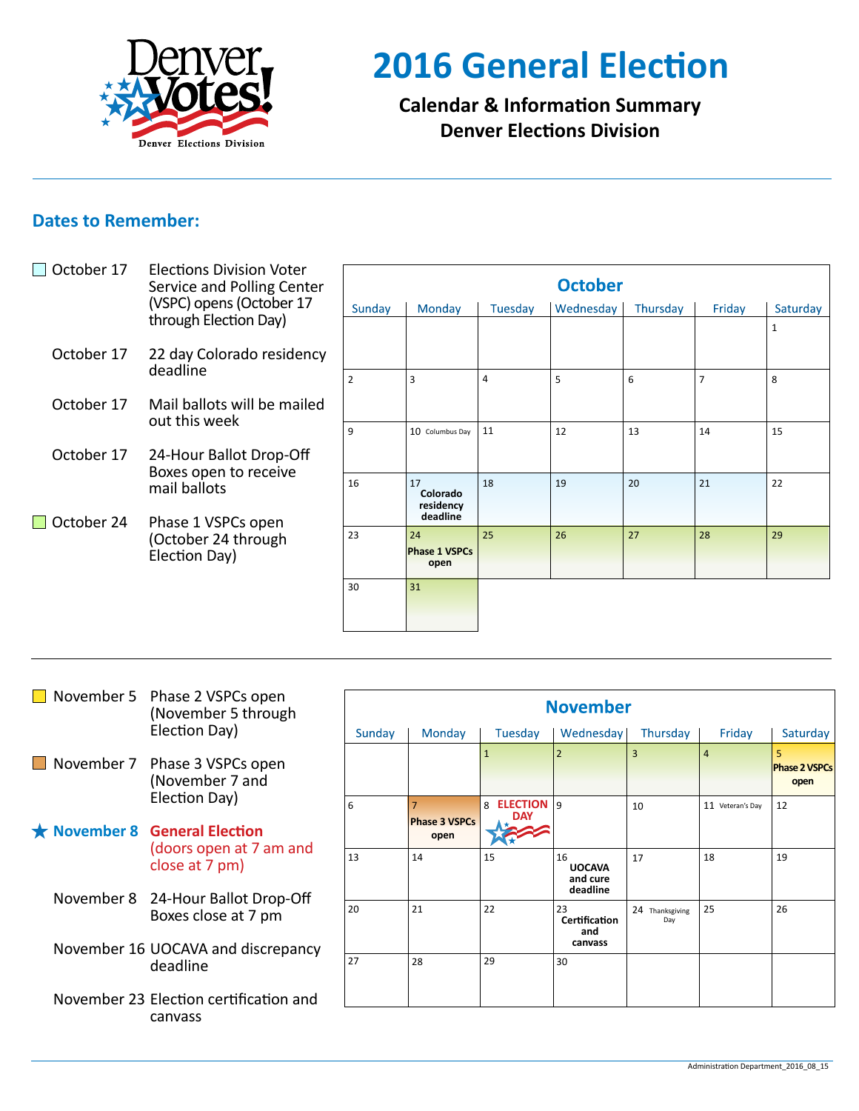

# **2016 General Election**

**Calendar & Information Summary Denver Elections Division**

# **Dates to Remember:**

| October 17 | <b>Elections Division Voter</b><br>Service and Polling Center<br>(VSPC) opens (October 17<br>through Election Day) | <b>October</b> |                              |         |           |          |                |          |  |
|------------|--------------------------------------------------------------------------------------------------------------------|----------------|------------------------------|---------|-----------|----------|----------------|----------|--|
|            |                                                                                                                    | Sunday         | Monday                       | Tuesday | Wednesday | Thursday | Friday         | Saturday |  |
|            |                                                                                                                    |                |                              |         |           |          |                | 1        |  |
| October 17 | 22 day Colorado residency<br>deadline                                                                              |                |                              |         |           |          |                |          |  |
|            |                                                                                                                    | $\overline{2}$ | 3                            | 4       | 5         | 6        | $\overline{7}$ | 8        |  |
| October 17 | Mail ballots will be mailed<br>out this week                                                                       |                |                              |         |           |          |                |          |  |
|            |                                                                                                                    | 9              | 10 Columbus Day              | 11      | 12        | 13       | 14             | 15       |  |
| October 17 | 24-Hour Ballot Drop-Off<br>Boxes open to receive<br>mail ballots                                                   |                |                              |         |           |          |                |          |  |
|            |                                                                                                                    | 16             | 17<br>Colorado<br>residency  | 18      | 19        | 20       | 21             | 22       |  |
| October 24 | Phase 1 VSPCs open                                                                                                 |                | deadline                     |         |           |          |                |          |  |
|            | (October 24 through<br>Election Day)                                                                               | 23             | 24                           | 25      | 26        | 27       | 28             | 29       |  |
|            |                                                                                                                    |                | <b>Phase 1 VSPCs</b><br>open |         |           |          |                |          |  |
|            |                                                                                                                    | 30             | 31                           |         |           |          |                |          |  |
|            |                                                                                                                    |                |                              |         |           |          |                |          |  |
|            |                                                                                                                    |                |                              |         |           |          |                |          |  |

|  | November 5 Phase 2 VSPCs open<br>(November 5 through<br>Election Day)                                                                                                                                | <b>November</b> |                              |                        |                                             |                        |                  |                              |
|--|------------------------------------------------------------------------------------------------------------------------------------------------------------------------------------------------------|-----------------|------------------------------|------------------------|---------------------------------------------|------------------------|------------------|------------------------------|
|  |                                                                                                                                                                                                      | Sunday          | Monday                       | Tuesday                | Wednesday                                   | Thursday               | Friday           | Saturday                     |
|  | November 7 Phase 3 VSPCs open<br>(November 7 and                                                                                                                                                     |                 |                              | $\mathbf{1}$           |                                             | $\overline{3}$         | $\overline{4}$   | <b>Phase 2 VSPCs</b><br>open |
|  | Election Day)<br>$\star$ November 8 General Election<br>(doors open at 7 am and<br>close at 7 pm)<br>November 8 24-Hour Ballot Drop-Off<br>Boxes close at 7 pm<br>November 16 UOCAVA and discrepancy | 6               | <b>Phase 3 VSPCs</b><br>open | ELECTION 9<br>8<br>DAY |                                             | 10                     | 11 Veteran's Day | 12                           |
|  |                                                                                                                                                                                                      | 13              | 14                           | 15                     | 16<br><b>UOCAVA</b><br>and cure<br>deadline | 17                     | 18               | 19                           |
|  |                                                                                                                                                                                                      | 20              | 21                           | 22                     | 23<br>Certification<br>and<br>canvass       | 24 Thanksgiving<br>Day | 25               | 26                           |
|  | deadline                                                                                                                                                                                             | 27              | 28                           | 29                     | 30                                          |                        |                  |                              |
|  | November 23 Election certification and<br>canvass                                                                                                                                                    |                 |                              |                        |                                             |                        |                  |                              |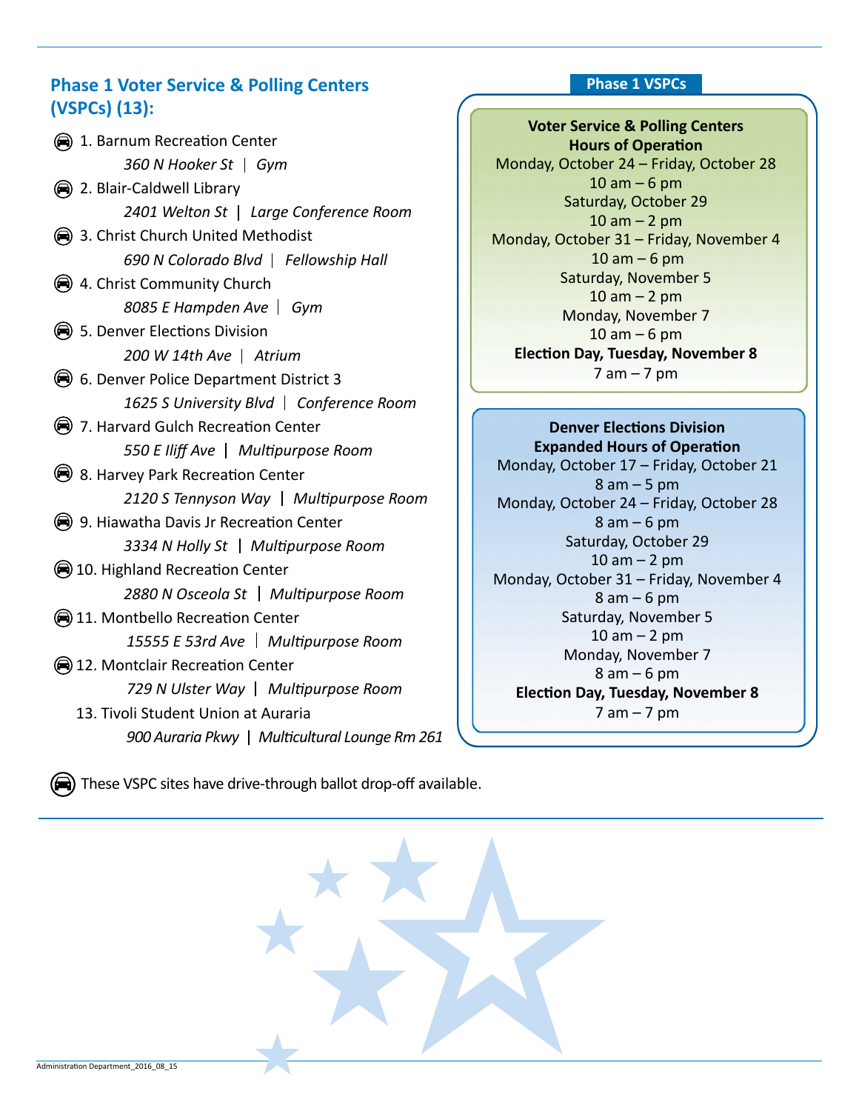# **Phase 1 Voter Service & Polling Centers Phase 1 VSPCs (VSPCs) (13):**

**Voter Service & Polling Centers Hours of Operation** Monday, October 24 – Friday, October 28  $10$  am  $-6$  pm Saturday, October 29  $10$  am  $-2$  pm Monday, October 31 – Friday, November 4  $10$  am  $-6$  pm Saturday, November 5  $10$  am  $- 2$  pm Monday, November 7 10 am – 6 pm **Election Day, Tuesday, November 8**  7 am – 7 pm

**Denver Elections Division Expanded Hours of Operation** Monday, October 17 – Friday, October 21 8 am – 5 pm Monday, October 24 – Friday, October 28 8 am – 6 pm Saturday, October 29 10 am – 2 pm Monday, October 31 – Friday, November 4 8 am – 6 pm Saturday, November 5  $10$  am  $-2$  pm Monday, November 7 8 am – 6 pm **Election Day, Tuesday, November 8** 7 am – 7 pm

 $\Rightarrow$ ) These VSPC sites have drive-through ballot drop-off available.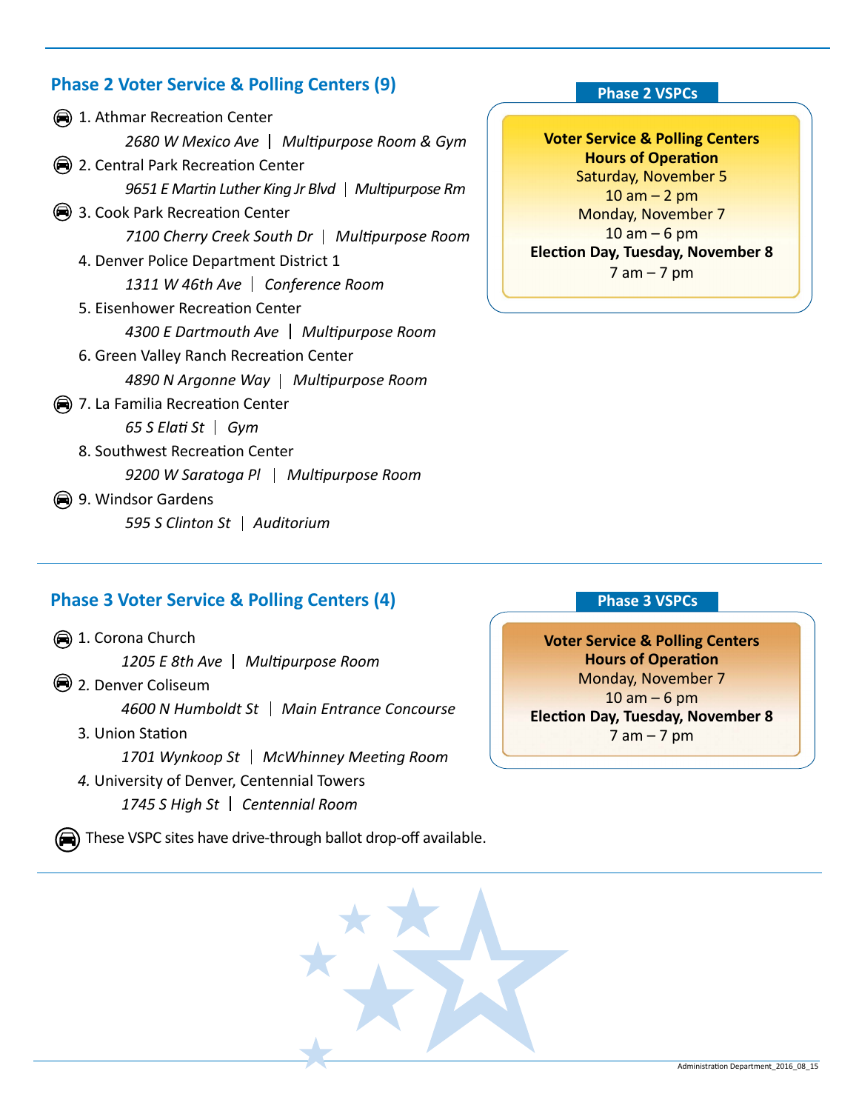# **Phase 2 Voter Service & Polling Centers (9)**

|                                 | (■) 1. Athmar Recreation Center                     |  |  |
|---------------------------------|-----------------------------------------------------|--|--|
|                                 | 2680 W Mexico Ave   Multipurpose Room & Gym         |  |  |
|                                 | 2. Central Park Recreation Center                   |  |  |
|                                 | 9651 E Martin Luther King Jr Blvd   Multipurpose Rm |  |  |
|                                 | 3. Cook Park Recreation Center                      |  |  |
|                                 | 7100 Cherry Creek South Dr   Multipurpose Room      |  |  |
|                                 | 4. Denver Police Department District 1              |  |  |
|                                 | 1311 W 46th Ave   Conference Room                   |  |  |
| 5. Eisenhower Recreation Center |                                                     |  |  |
|                                 | 4300 E Dartmouth Ave   Multipurpose Room            |  |  |
|                                 | 6. Green Valley Ranch Recreation Center             |  |  |
|                                 | 4890 N Argonne Way   Multipurpose Room              |  |  |
| (a)                             | 7. La Familia Recreation Center                     |  |  |
|                                 | 65 S Elati St $\mid$ Gym                            |  |  |
|                                 | 8. Southwest Recreation Center                      |  |  |
|                                 | 9200 W Saratoga Pl   Multipurpose Room              |  |  |
|                                 | 9. Windsor Gardens                                  |  |  |
|                                 | 595 S Clinton St   Auditorium                       |  |  |

## **Phase 3 Voter Service & Polling Centers (4)**

1. Corona Church

1205 E 8th Ave | Multipurpose Room

2*.* Denver Coliseum

*4600 N Humboldt St Main Entrance Concourse*

3*.* Union Station

*1701 Wynkoop St McWhinney Meeting Room 4.* University of Denver, Centennial Towers

*1745 S High St Centennial Room* 

 $\bigoplus$ ) These VSPC sites have drive-through ballot drop-off available.

#### **Phase 2 VSPCs**

**Voter Service & Polling Centers Hours of Operation** Saturday, November 5  $10$  am  $- 2$  pm Monday, November 7  $10$  am  $-6$  pm **Election Day, Tuesday, November 8**   $7$  am  $-7$  pm

### **Phase 3 VSPCs**

**Voter Service & Polling Centers Hours of Operation** Monday, November 7  $10$  am  $-6$  pm **Election Day, Tuesday, November 8**  7 am – 7 pm